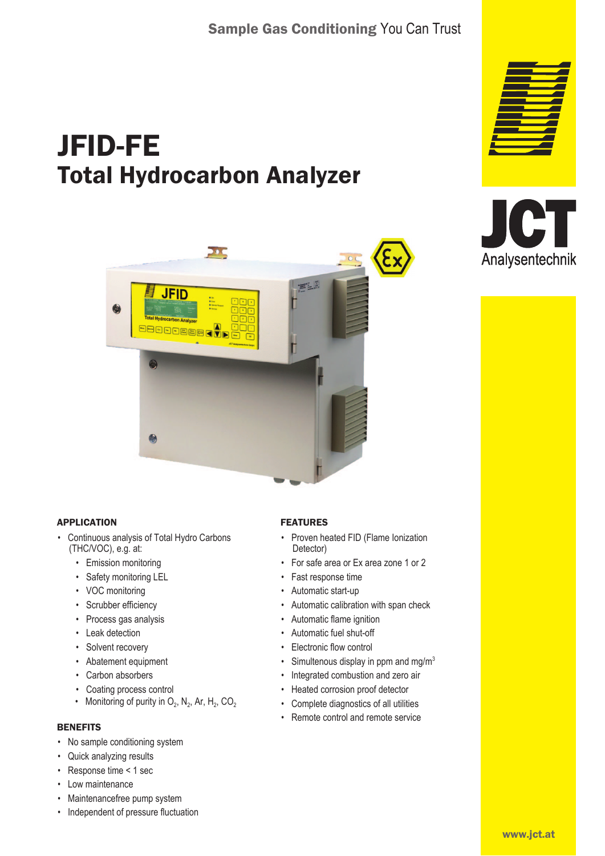# JFID-FE Total Hydrocarbon Analyzer







#### APPLICATION

- Continuous analysis of Total Hydro Carbons (THC/VOC), e.g. at:
	- Emission monitoring
	- Safety monitoring LEL
	- VOC monitoring
	- Scrubber efficiency
	- Process gas analysis
	- Leak detection
	- Solvent recovery
	- Abatement equipment
	- Carbon absorbers
	- Coating process control
	- Monitoring of purity in  $O_2$ , N<sub>2</sub>, Ar, H<sub>2</sub>, CO<sub>2</sub>

#### **BENEFITS**

- No sample conditioning system
- Quick analyzing results
- Response time < 1 sec
- Low maintenance
- Maintenancefree pump system
- Independent of pressure fluctuation

#### FEATURES

- Proven heated FID (Flame Ionization Detector)
- For safe area or Ex area zone 1 or 2
- Fast response time
- Automatic start-up
- Automatic calibration with span check
- Automatic flame ignition
- Automatic fuel shut-off
- Electronic flow control
- Simultenous display in ppm and mg/m<sup>3</sup>
- Integrated combustion and zero air
- Heated corrosion proof detector
- Complete diagnostics of all utilities
- Remote control and remote service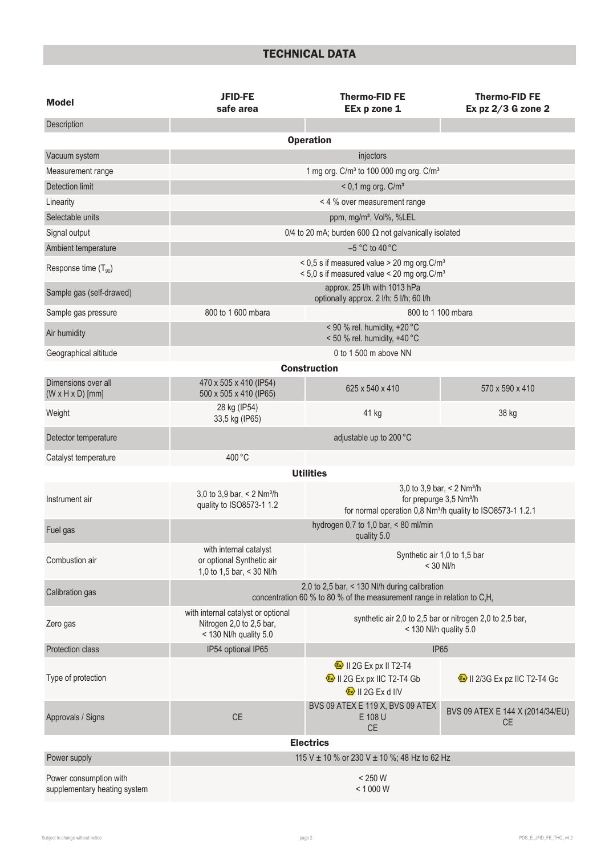## TECHNICAL DATA

| <b>Model</b>                                           | <b>JFID-FE</b><br>safe area                                                                                                  | <b>Thermo-FID FE</b><br>EEx p zone 1                                               | <b>Thermo-FID FE</b><br>Ex $pz$ 2/3 G zone 2                                  |  |
|--------------------------------------------------------|------------------------------------------------------------------------------------------------------------------------------|------------------------------------------------------------------------------------|-------------------------------------------------------------------------------|--|
| Description                                            |                                                                                                                              |                                                                                    |                                                                               |  |
| <b>Operation</b>                                       |                                                                                                                              |                                                                                    |                                                                               |  |
| Vacuum system                                          |                                                                                                                              | injectors                                                                          |                                                                               |  |
| Measurement range                                      | 1 mg org. C/m <sup>3</sup> to 100 000 mg org. C/m <sup>3</sup>                                                               |                                                                                    |                                                                               |  |
| <b>Detection limit</b>                                 | $<$ 0,1 mg org. C/m <sup>3</sup>                                                                                             |                                                                                    |                                                                               |  |
| Linearity                                              | < 4 % over measurement range                                                                                                 |                                                                                    |                                                                               |  |
| Selectable units                                       | ppm, mg/m <sup>3</sup> , Vol%, %LEL                                                                                          |                                                                                    |                                                                               |  |
| Signal output                                          | 0/4 to 20 mA; burden 600 $\Omega$ not galvanically isolated                                                                  |                                                                                    |                                                                               |  |
| Ambient temperature                                    | $-5$ °C to 40 °C                                                                                                             |                                                                                    |                                                                               |  |
| Response time $(T_{90})$                               | < 0,5 s if measured value > 20 mg org.C/m <sup>3</sup><br>< 5,0 s if measured value < 20 mg org. C/m <sup>3</sup>            |                                                                                    |                                                                               |  |
| Sample gas (self-drawed)                               | approx. 25 I/h with 1013 hPa<br>optionally approx. 2 l/h; 5 l/h; 60 l/h                                                      |                                                                                    |                                                                               |  |
| Sample gas pressure                                    | 800 to 1 600 mbara                                                                                                           | 800 to 1 100 mbara                                                                 |                                                                               |  |
| Air humidity                                           |                                                                                                                              | < 90 % rel. humidity, $+20$ °C<br>< 50 % rel. humidity, +40 °C                     |                                                                               |  |
| Geographical altitude                                  |                                                                                                                              | 0 to 1 500 m above NN                                                              |                                                                               |  |
|                                                        |                                                                                                                              | <b>Construction</b>                                                                |                                                                               |  |
| Dimensions over all<br>$(W \times H \times D)$ [mm]    | 470 x 505 x 410 (IP54)<br>500 x 505 x 410 (IP65)                                                                             | 625 x 540 x 410                                                                    | 570 x 590 x 410                                                               |  |
| Weight                                                 | 28 kg (IP54)<br>33,5 kg (IP65)                                                                                               | 41 kg                                                                              | 38 kg                                                                         |  |
| Detector temperature                                   |                                                                                                                              | adjustable up to 200 °C                                                            |                                                                               |  |
| Catalyst temperature                                   | 400 °C                                                                                                                       |                                                                                    |                                                                               |  |
|                                                        |                                                                                                                              | <b>Utilities</b>                                                                   |                                                                               |  |
| Instrument air                                         | 3,0 to 3,9 bar, $<$ 2 Nm <sup>3</sup> /h<br>quality to ISO8573-1 1.2                                                         | for normal operation 0,8 Nm <sup>3</sup> /h quality to ISO8573-1 1.2.1             | 3,0 to 3,9 bar, < 2 Nm <sup>3</sup> /h<br>for prepurge 3,5 Nm <sup>3</sup> /h |  |
| Fuel gas                                               | hydrogen 0,7 to 1,0 bar, < 80 ml/min<br>quality 5.0                                                                          |                                                                                    |                                                                               |  |
| Combustion air                                         | with internal catalyst<br>or optional Synthetic air<br>1,0 to 1,5 bar, < 30 Nl/h                                             | Synthetic air 1,0 to 1,5 bar<br>$<$ 30 NI/h                                        |                                                                               |  |
| Calibration gas                                        | 2,0 to 2,5 bar, < 130 NI/h during calibration<br>concentration 60 % to 80 % of the measurement range in relation to $C_3H_8$ |                                                                                    |                                                                               |  |
| Zero gas                                               | with internal catalyst or optional<br>Nitrogen 2,0 to 2,5 bar,<br>< 130 Nl/h quality 5.0                                     | synthetic air 2,0 to 2,5 bar or nitrogen 2,0 to 2,5 bar,<br>< 130 Nl/h quality 5.0 |                                                                               |  |
| <b>Protection class</b>                                | IP54 optional IP65                                                                                                           |                                                                                    | <b>IP65</b>                                                                   |  |
|                                                        |                                                                                                                              | <sup><sup>3</sup>/<sub>8</sub> II 2G Ex px II T2-T4</sup>                          |                                                                               |  |
| Type of protection                                     |                                                                                                                              | II 2G Ex px IIC T2-T4 Gb<br><b>&amp;</b> II 2G Ex d IIV                            | <sup><sup>3</sup>/<sub>8</sub>/<sub>11</sub> 2/3G Ex pz IIC T2-T4 Gc</sup>    |  |
| Approvals / Signs                                      | CE                                                                                                                           | BVS 09 ATEX E 119 X, BVS 09 ATEX<br>E 108 U<br>CE                                  | BVS 09 ATEX E 144 X (2014/34/EU)<br><b>CE</b>                                 |  |
|                                                        |                                                                                                                              | <b>Electrics</b>                                                                   |                                                                               |  |
| Power supply                                           | 115 V ± 10 % or 230 V ± 10 %; 48 Hz to 62 Hz                                                                                 |                                                                                    |                                                                               |  |
| Power consumption with<br>supplementary heating system | $< 250 W$<br>< 1000 W                                                                                                        |                                                                                    |                                                                               |  |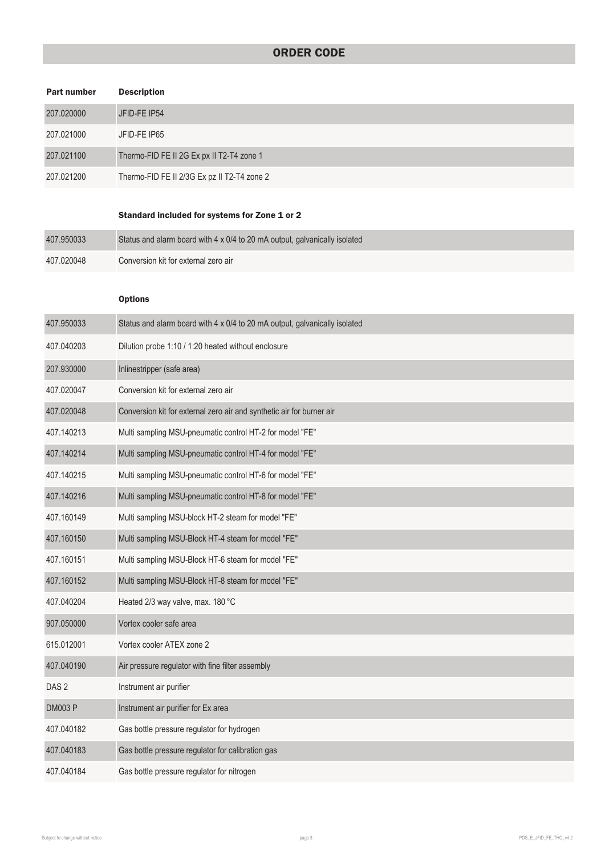### ORDER CODE

| <b>Part number</b> | <b>Description</b>                                                         |
|--------------------|----------------------------------------------------------------------------|
| 207.020000         | JFID-FE IP54                                                               |
| 207.021000         | JFID-FE IP65                                                               |
| 207.021100         | Thermo-FID FE II 2G Ex px II T2-T4 zone 1                                  |
| 207.021200         | Thermo-FID FE II 2/3G Ex pz II T2-T4 zone 2                                |
|                    | Standard included for systems for Zone 1 or 2                              |
| 407.950033         | Status and alarm board with 4 x 0/4 to 20 mA output, galvanically isolated |
| 407.020048         | Conversion kit for external zero air                                       |
|                    | <b>Options</b>                                                             |
| 407.950033         | Status and alarm board with 4 x 0/4 to 20 mA output, galvanically isolated |
| 407.040203         | Dilution probe 1:10 / 1:20 heated without enclosure                        |
| 207.930000         | Inlinestripper (safe area)                                                 |
| 407.020047         | Conversion kit for external zero air                                       |
| 407.020048         | Conversion kit for external zero air and synthetic air for burner air      |
| 407.140213         | Multi sampling MSU-pneumatic control HT-2 for model "FE"                   |
| 407.140214         | Multi sampling MSU-pneumatic control HT-4 for model "FE"                   |
| 407.140215         | Multi sampling MSU-pneumatic control HT-6 for model "FE"                   |
| 407.140216         | Multi sampling MSU-pneumatic control HT-8 for model "FE"                   |
| 407.160149         | Multi sampling MSU-block HT-2 steam for model "FE"                         |
| 407.160150         | Multi sampling MSU-Block HT-4 steam for model "FE"                         |
| 407.160151         | Multi sampling MSU-Block HT-6 steam for model "FE"                         |
| 407.160152         | Multi sampling MSU-Block HT-8 steam for model "FE"                         |
| 407.040204         | Heated 2/3 way valve, max. 180 °C                                          |
| 907.050000         | Vortex cooler safe area                                                    |
| 615.012001         | Vortex cooler ATEX zone 2                                                  |
| 407.040190         | Air pressure regulator with fine filter assembly                           |
| DAS <sub>2</sub>   | Instrument air purifier                                                    |
| <b>DM003 P</b>     | Instrument air purifier for Ex area                                        |
| 407.040182         | Gas bottle pressure regulator for hydrogen                                 |
| 407.040183         | Gas bottle pressure regulator for calibration gas                          |
| 407.040184         | Gas bottle pressure regulator for nitrogen                                 |